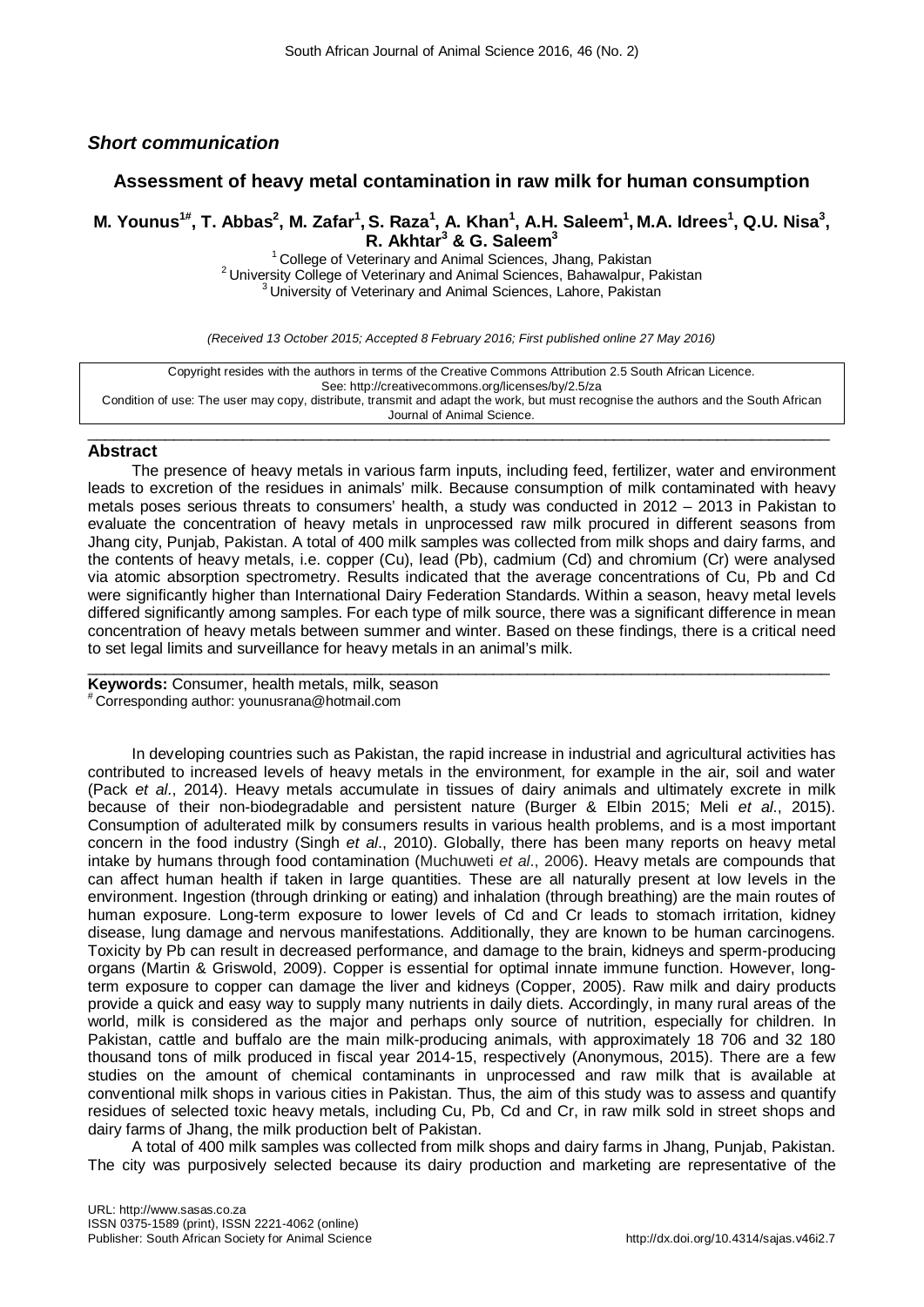## *Short communication*

## **Assessment of heavy metal contamination in raw milk for human consumption**

# M. Younus<sup>1#</sup>, T. Abbas<sup>2</sup>, M. Zafar<sup>1</sup>, S. Raza<sup>1</sup>, A. Khan<sup>1</sup>, A.H. Saleem<sup>1</sup>, M.A. Idrees<sup>1</sup>, Q.U. Nisa<sup>3</sup>, **R. Akhtar<sup>3</sup> & G. Saleem3**

<sup>2</sup> University College of Veterinary and Animal Sciences, Bahawalpur, Pakistan <sup>3</sup> University of Veterinary and Animal Sciences, Lahore, Pakistan 3

*(Received 13 October 2015; Accepted 8 February 2016; First published online 27 May 2016)*

Copyright resides with the authors in terms of the Creative Commons Attribution 2.5 South African Licence. See: http://creativecommons.org/licenses/by/2.5/za Condition of use: The user may copy, distribute, transmit and adapt the work, but must recognise the authors and the South African Journal of Animal Science.

### $\_$  , and the set of the set of the set of the set of the set of the set of the set of the set of the set of the set of the set of the set of the set of the set of the set of the set of the set of the set of the set of th **Abstract**

The presence of heavy metals in various farm inputs, including feed, fertilizer, water and environment leads to excretion of the residues in animals' milk. Because consumption of milk contaminated with heavy metals poses serious threats to consumers' health, a study was conducted in 2012 – 2013 in Pakistan to evaluate the concentration of heavy metals in unprocessed raw milk procured in different seasons from Jhang city, Punjab, Pakistan. A total of 400 milk samples was collected from milk shops and dairy farms, and the contents of heavy metals, i.e. copper (Cu), lead (Pb), cadmium (Cd) and chromium (Cr) were analysed via atomic absorption spectrometry. Results indicated that the average concentrations of Cu, Pb and Cd were significantly higher than International Dairy Federation Standards. Within a season, heavy metal levels differed significantly among samples. For each type of milk source, there was a significant difference in mean concentration of heavy metals between summer and winter. Based on these findings, there is a critical need to set legal limits and surveillance for heavy metals in an animal's milk.

 $\_$  ,  $\_$  ,  $\_$  ,  $\_$  ,  $\_$  ,  $\_$  ,  $\_$  ,  $\_$  ,  $\_$  ,  $\_$  ,  $\_$  ,  $\_$  ,  $\_$  ,  $\_$  ,  $\_$  ,  $\_$  ,  $\_$  ,  $\_$  ,  $\_$  ,  $\_$  ,  $\_$  ,  $\_$  ,  $\_$  ,  $\_$  ,  $\_$  ,  $\_$  ,  $\_$  ,  $\_$  ,  $\_$  ,  $\_$  ,  $\_$  ,  $\_$  ,  $\_$  ,  $\_$  ,  $\_$  ,  $\_$  ,  $\_$  ,

**Keywords:** Consumer, health metals, milk, season # Corresponding author: younusrana@hotmail.com

In developing countries such as Pakistan, the rapid increase in industrial and agricultural activities has contributed to increased levels of heavy metals in the environment, for example in the air, soil and water (Pack *et al*., 2014). Heavy metals accumulate in tissues of dairy animals and ultimately excrete in milk because of their non-biodegradable and persistent nature (Burger & Elbin 2015; Meli *et al*., 2015). Consumption of adulterated milk by consumers results in various health problems, and is a most important concern in the food industry (Singh *et al*., 2010). Globally, there has been many reports on heavy metal intake by humans through food contamination (Muchuweti *et al*., 2006). Heavy metals are compounds that can affect human health if taken in large quantities. These are all naturally present at low levels in the environment. Ingestion (through drinking or eating) and inhalation (through breathing) are the main routes of human exposure. Long-term exposure to lower levels of Cd and Cr leads to stomach irritation, kidney disease, lung damage and nervous manifestations. Additionally, they are known to be human carcinogens. Toxicity by Pb can result in decreased performance, and damage to the brain, kidneys and sperm-producing organs (Martin & Griswold, 2009). Copper is essential for optimal innate immune function. However, longterm exposure to copper can damage the liver and kidneys (Copper, 2005). Raw milk and dairy products provide a quick and easy way to supply many nutrients in daily diets. Accordingly, in many rural areas of the world, milk is considered as the major and perhaps only source of nutrition, especially for children. In Pakistan, cattle and buffalo are the main milk-producing animals, with approximately 18 706 and 32 180 thousand tons of milk produced in fiscal year 2014-15, respectively (Anonymous, 2015). There are a few studies on the amount of chemical contaminants in unprocessed and raw milk that is available at conventional milk shops in various cities in Pakistan. Thus, the aim of this study was to assess and quantify residues of selected toxic heavy metals, including Cu, Pb, Cd and Cr, in raw milk sold in street shops and dairy farms of Jhang, the milk production belt of Pakistan.

A total of 400 milk samples was collected from milk shops and dairy farms in Jhang, Punjab, Pakistan. The city was purposively selected because its dairy production and marketing are representative of the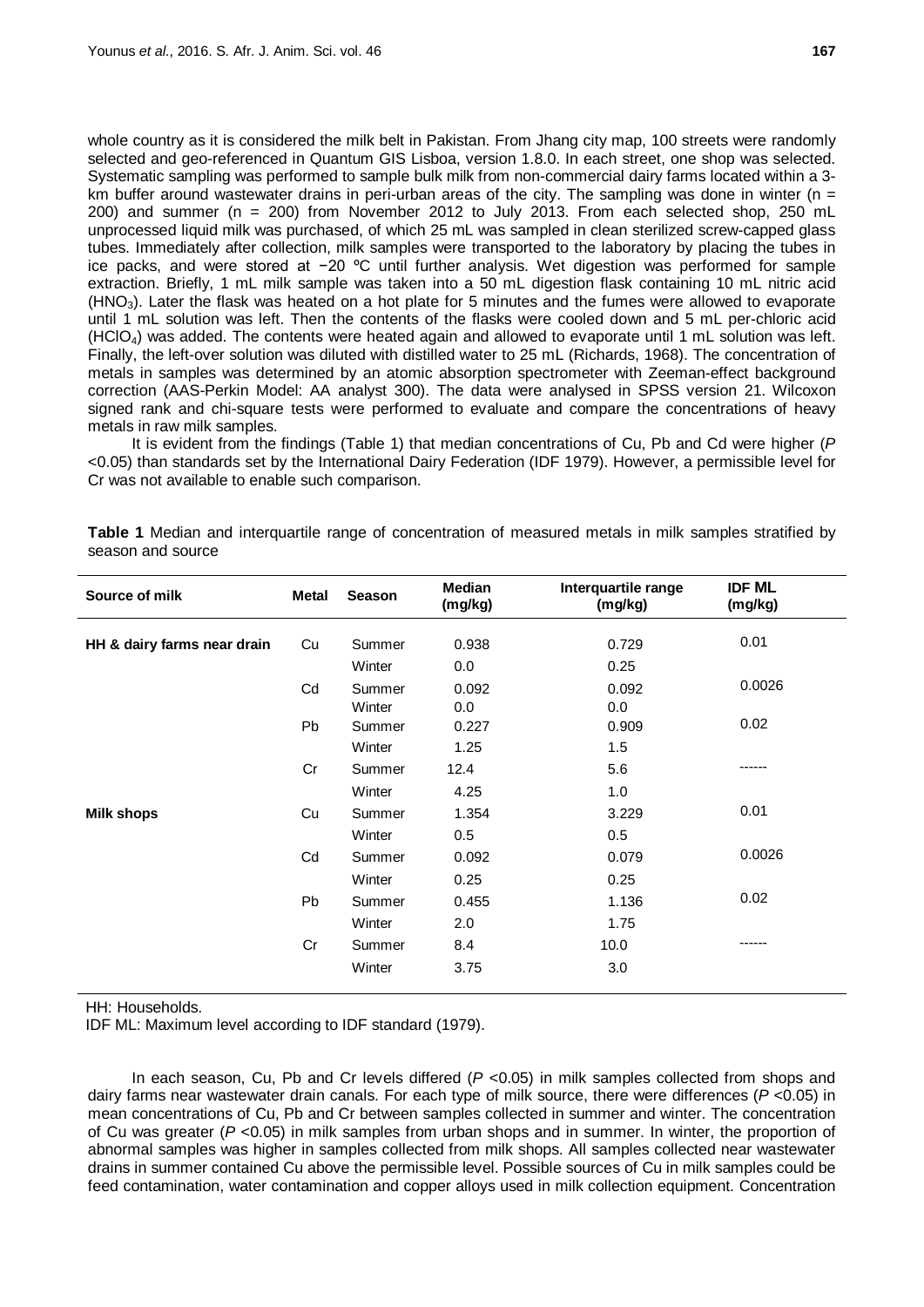whole country as it is considered the milk belt in Pakistan. From Jhang city map, 100 streets were randomly selected and geo-referenced in Quantum GIS Lisboa, version 1.8.0. In each street, one shop was selected. Systematic sampling was performed to sample bulk milk from non-commercial dairy farms located within a 3 km buffer around wastewater drains in peri-urban areas of the city. The sampling was done in winter ( $n =$ 200) and summer (n = 200) from November 2012 to July 2013. From each selected shop, 250 mL unprocessed liquid milk was purchased, of which 25 mL was sampled in clean sterilized screw-capped glass tubes. Immediately after collection, milk samples were transported to the laboratory by placing the tubes in ice packs, and were stored at −20 ºC until further analysis. Wet digestion was performed for sample extraction. Briefly, 1 mL milk sample was taken into a 50 mL digestion flask containing 10 mL nitric acid  $(HNO<sub>3</sub>)$ . Later the flask was heated on a hot plate for 5 minutes and the fumes were allowed to evaporate until 1 mL solution was left. Then the contents of the flasks were cooled down and 5 mL per-chloric acid (HClO4) was added. The contents were heated again and allowed to evaporate until 1 mL solution was left. Finally, the left-over solution was diluted with distilled water to 25 mL (Richards, 1968). The concentration of metals in samples was determined by an atomic absorption spectrometer with Zeeman-effect background correction (AAS-Perkin Model: AA analyst 300). The data were analysed in SPSS version 21. Wilcoxon signed rank and chi-square tests were performed to evaluate and compare the concentrations of heavy metals in raw milk samples.

It is evident from the findings (Table 1) that median concentrations of Cu, Pb and Cd were higher (*P*  <0.05) than standards set by the International Dairy Federation (IDF 1979). However, a permissible level for Cr was not available to enable such comparison.

| Source of milk              | <b>Metal</b> | <b>Season</b> | Median<br>(mg/kg) | Interquartile range<br>(mg/kg) | <b>IDF ML</b><br>(mg/kg) |
|-----------------------------|--------------|---------------|-------------------|--------------------------------|--------------------------|
| HH & dairy farms near drain | Cu           | Summer        | 0.938             | 0.729                          | 0.01                     |
|                             |              | Winter        | 0.0               | 0.25                           |                          |
|                             | Cd           | Summer        | 0.092             | 0.092                          | 0.0026                   |
|                             |              | Winter        | 0.0               | 0.0                            |                          |
|                             | <b>Pb</b>    | Summer        | 0.227             | 0.909                          | 0.02                     |
|                             |              | Winter        | 1.25              | 1.5                            |                          |
|                             | Cr           | Summer        | 12.4              | 5.6                            |                          |
|                             |              | Winter        | 4.25              | 1.0                            |                          |
| <b>Milk shops</b>           | Cu           | Summer        | 1.354             | 3.229                          | 0.01                     |
|                             |              | Winter        | 0.5               | 0.5                            |                          |
|                             | Cd           | Summer        | 0.092             | 0.079                          | 0.0026                   |
|                             |              | Winter        | 0.25              | 0.25                           |                          |
|                             | <b>Pb</b>    | Summer        | 0.455             | 1.136                          | 0.02                     |
|                             |              | Winter        | 2.0               | 1.75                           |                          |
|                             | Cr           | Summer        | 8.4               | 10.0                           | ------                   |
|                             |              | Winter        | 3.75              | 3.0                            |                          |

**Table 1** Median and interquartile range of concentration of measured metals in milk samples stratified by season and source

HH: Households.

IDF ML: Maximum level according to IDF standard (1979).

In each season, Cu, Pb and Cr levels differed ( $P$  <0.05) in milk samples collected from shops and dairy farms near wastewater drain canals. For each type of milk source, there were differences (*P* <0.05) in mean concentrations of Cu, Pb and Cr between samples collected in summer and winter. The concentration of Cu was greater (*P* <0.05) in milk samples from urban shops and in summer. In winter, the proportion of abnormal samples was higher in samples collected from milk shops. All samples collected near wastewater drains in summer contained Cu above the permissible level. Possible sources of Cu in milk samples could be feed contamination, water contamination and copper alloys used in milk collection equipment. Concentration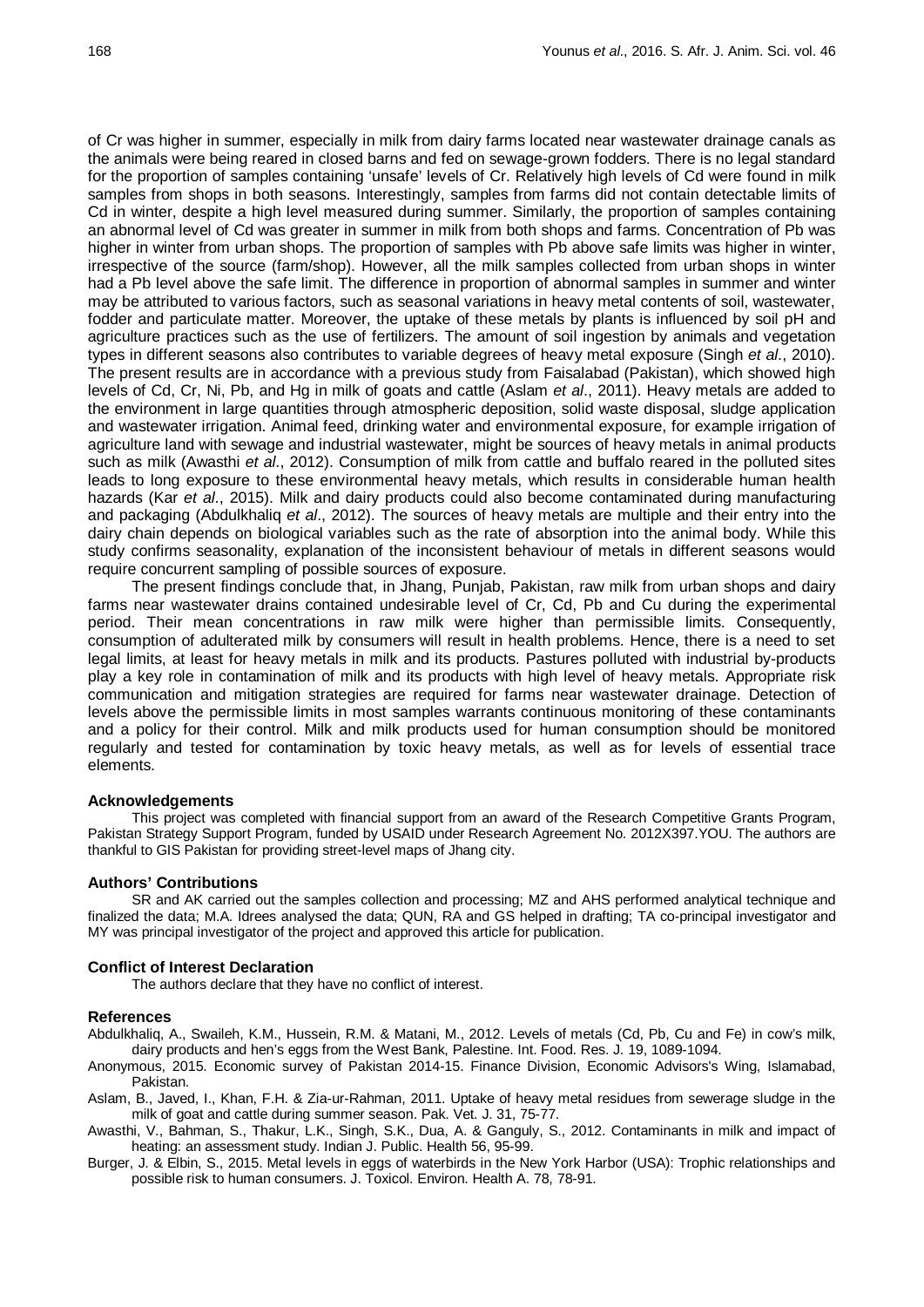of Cr was higher in summer, especially in milk from dairy farms located near wastewater drainage canals as the animals were being reared in closed barns and fed on sewage-grown fodders. There is no legal standard for the proportion of samples containing 'unsafe' levels of Cr. Relatively high levels of Cd were found in milk samples from shops in both seasons. Interestingly, samples from farms did not contain detectable limits of Cd in winter, despite a high level measured during summer. Similarly, the proportion of samples containing an abnormal level of Cd was greater in summer in milk from both shops and farms. Concentration of Pb was higher in winter from urban shops. The proportion of samples with Pb above safe limits was higher in winter, irrespective of the source (farm/shop). However, all the milk samples collected from urban shops in winter had a Pb level above the safe limit. The difference in proportion of abnormal samples in summer and winter may be attributed to various factors, such as seasonal variations in heavy metal contents of soil, wastewater, fodder and particulate matter. Moreover, the uptake of these metals by plants is influenced by soil pH and agriculture practices such as the use of fertilizers. The amount of soil ingestion by animals and vegetation types in different seasons also contributes to variable degrees of heavy metal exposure (Singh *et al*., 2010). The present results are in accordance with a previous study from Faisalabad (Pakistan), which showed high levels of Cd, Cr, Ni, Pb, and Hg in milk of goats and cattle (Aslam *et al*., 2011). Heavy metals are added to the environment in large quantities through atmospheric deposition, solid waste disposal, sludge application and wastewater irrigation. Animal feed, drinking water and environmental exposure, for example irrigation of agriculture land with sewage and industrial wastewater, might be sources of heavy metals in animal products such as milk (Awasthi *et al*., 2012). Consumption of milk from cattle and buffalo reared in the polluted sites leads to long exposure to these environmental heavy metals, which results in considerable human health hazards (Kar *et al*., 2015). Milk and dairy products could also become contaminated during manufacturing and packaging (Abdulkhaliq *et al*., 2012). The sources of heavy metals are multiple and their entry into the dairy chain depends on biological variables such as the rate of absorption into the animal body. While this study confirms seasonality, explanation of the inconsistent behaviour of metals in different seasons would require concurrent sampling of possible sources of exposure.

The present findings conclude that, in Jhang, Punjab, Pakistan, raw milk from urban shops and dairy farms near wastewater drains contained undesirable level of Cr, Cd, Pb and Cu during the experimental period. Their mean concentrations in raw milk were higher than permissible limits. Consequently, consumption of adulterated milk by consumers will result in health problems. Hence, there is a need to set legal limits, at least for heavy metals in milk and its products. Pastures polluted with industrial by-products play a key role in contamination of milk and its products with high level of heavy metals. Appropriate risk communication and mitigation strategies are required for farms near wastewater drainage. Detection of levels above the permissible limits in most samples warrants continuous monitoring of these contaminants and a policy for their control. Milk and milk products used for human consumption should be monitored regularly and tested for contamination by toxic heavy metals, as well as for levels of essential trace elements.

#### **Acknowledgements**

This project was completed with financial support from an award of the Research Competitive Grants Program, Pakistan Strategy Support Program, funded by USAID under Research Agreement No. 2012X397.YOU. The authors are thankful to GIS Pakistan for providing street-level maps of Jhang city.

#### **Authors' Contributions**

SR and AK carried out the samples collection and processing; MZ and AHS performed analytical technique and finalized the data; M.A. Idrees analysed the data; QUN, RA and GS helped in drafting; TA co-principal investigator and MY was principal investigator of the project and approved this article for publication.

#### **Conflict of Interest Declaration**

The authors declare that they have no conflict of interest.

#### **References**

Abdulkhaliq, A., Swaileh, K.M., Hussein, R.M. & Matani, M., 2012. Levels of metals (Cd, Pb, Cu and Fe) in cow's milk, dairy products and hen's eggs from the West Bank, Palestine. Int. Food. Res. J. 19, 1089-1094.

- Anonymous, 2015. Economic survey of Pakistan 2014-15. Finance Division, Economic Advisors's Wing, Islamabad, Pakistan.
- Aslam, B., Javed, I., Khan, F.H. & Zia-ur-Rahman, 2011. Uptake of heavy metal residues from sewerage sludge in the milk of goat and cattle during summer season. Pak. Vet. J. 31, 75-77.
- Awasthi, V., Bahman, S., Thakur, L.K., Singh, S.K., Dua, A. & Ganguly, S., 2012. Contaminants in milk and impact of heating: an assessment study. Indian J. Public. Health 56, 95-99.
- Burger, J. & Elbin, S., 2015. Metal levels in eggs of waterbirds in the New York Harbor (USA): Trophic relationships and possible risk to human consumers. J. Toxicol. Environ. Health A. 78, 78-91.